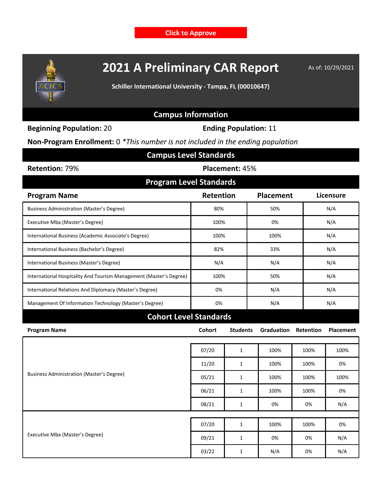**[Click to Approve](javascript:void(SP.UI.ModalDialog.showModalDialog(%7Btitle:)**



## **2021 A Preliminary CAR Report** As of: 10/29/2021

**Schiller International University - Tampa, FL (00010647)**

## **Campus Information**

**Beginning Population:** 20 **Ending Population:** 11

**Non-Program Enrollment:** 0 *\*This number is not included in the ending population*

| <b>Campus Level Standards</b>                                      |                |                 |                   |           |                  |  |  |  |  |  |
|--------------------------------------------------------------------|----------------|-----------------|-------------------|-----------|------------------|--|--|--|--|--|
| Retention: 79%                                                     | Placement: 45% |                 |                   |           |                  |  |  |  |  |  |
| <b>Program Level Standards</b>                                     |                |                 |                   |           |                  |  |  |  |  |  |
| <b>Program Name</b>                                                | Retention      |                 | Placement         |           | Licensure        |  |  |  |  |  |
| <b>Business Administration (Master's Degree)</b>                   | 80%            |                 | 50%               |           | N/A              |  |  |  |  |  |
| Executive Mba (Master's Degree)                                    | 100%           |                 | 0%                |           | N/A              |  |  |  |  |  |
| International Business (Academic Associate's Degree)               | 100%           |                 | 100%              |           | N/A              |  |  |  |  |  |
| International Business (Bachelor's Degree)                         | 82%            |                 | 33%               |           | N/A              |  |  |  |  |  |
| International Business (Master's Degree)                           | N/A            |                 | N/A               |           | N/A              |  |  |  |  |  |
| International Hospitality And Tourism Management (Master's Degree) | 100%           |                 | 50%               |           | N/A              |  |  |  |  |  |
| International Relations And Diplomacy (Master's Degree)            | 0%             |                 | N/A               |           | N/A              |  |  |  |  |  |
| Management Of Information Technology (Master's Degree)             | 0%             |                 | N/A               |           | N/A              |  |  |  |  |  |
| <b>Cohort Level Standards</b>                                      |                |                 |                   |           |                  |  |  |  |  |  |
| <b>Program Name</b>                                                | <b>Cohort</b>  | <b>Students</b> | <b>Graduation</b> | Retention | <b>Placement</b> |  |  |  |  |  |
| <b>Business Administration (Master's Degree)</b>                   | 07/20          | $\mathbf{1}$    | 100%              | 100%      | 100%             |  |  |  |  |  |
|                                                                    | 11/20          | $\mathbf{1}$    | 100%              | 100%      | 0%               |  |  |  |  |  |
|                                                                    | 05/21          | $\mathbf{1}$    | 100%              | 100%      |                  |  |  |  |  |  |
|                                                                    | 06/21          | $\mathbf{1}$    | 100%              | 100%      | 0%               |  |  |  |  |  |
|                                                                    | 08/21          | $\mathbf{1}$    | 0%                | 0%        | N/A              |  |  |  |  |  |
| Executive Mba (Master's Degree)                                    | 07/20          | $\mathbf{1}$    | 100%              | 100%      | 0%               |  |  |  |  |  |
|                                                                    | 09/21          | $\mathbf{1}$    | 0%                | 0%        | N/A              |  |  |  |  |  |
|                                                                    | 03/22          | $\mathbf{1}$    | N/A               | 0%        | N/A              |  |  |  |  |  |